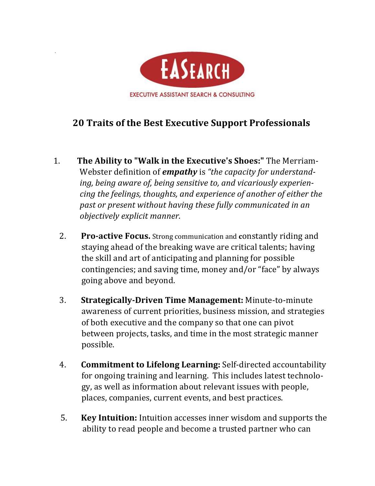

## **20 Traits of the Best Executive Support Professionals**

- 1. The Ability to "Walk in the Executive's Shoes:" The Merriam-Webster definition of **empathy** is "the capacity for understanding, being aware of, being sensitive to, and vicariously experien*cing* the feelings, thoughts, and experience of another of either the past or present without having these fully communicated in an *objectively explicit manner.*
	- 2. **Pro-active Focus.** Strong communication and **constantly** riding and staying ahead of the breaking wave are critical talents; having the skill and art of anticipating and planning for possible contingencies; and saving time, money and/or "face" by always going above and beyond.
	- **3. Strategically-Driven Time Management:** Minute-to-minute awareness of current priorities, business mission, and strategies of both executive and the company so that one can pivot between projects, tasks, and time in the most strategic manner possible.
	- 4. **Commitment to Lifelong Learning:** Self-directed accountability for ongoing training and learning. This includes latest technology, as well as information about relevant issues with people, places, companies, current events, and best practices.
	- 5. **Key Intuition:** Intuition accesses inner wisdom and supports the ability to read people and become a trusted partner who can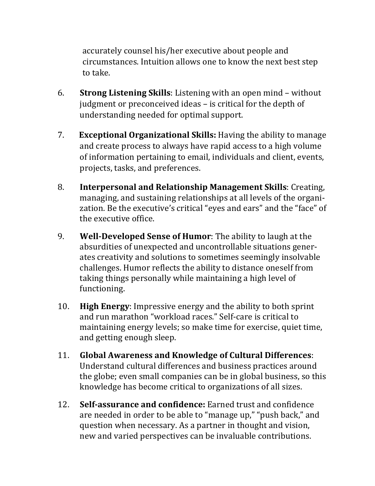accurately counsel his/her executive about people and circumstances. Intuition allows one to know the next best step to take.

- 6. **Strong Listening Skills**: Listening with an open mind without judgment or preconceived ideas – is critical for the depth of understanding needed for optimal support.
- 7. **Exceptional Organizational Skills:** Having the ability to manage and create process to always have rapid access to a high volume of information pertaining to email, individuals and client, events, projects, tasks, and preferences.
- 8. **Interpersonal and Relationship Management Skills**: Creating, managing, and sustaining relationships at all levels of the organization. Be the executive's critical "eyes and ears" and the "face" of the executive office.
- 9. **Well-Developed Sense of Humor**: The ability to laugh at the absurdities of unexpected and uncontrollable situations generates creativity and solutions to sometimes seemingly insolvable challenges. Humor reflects the ability to distance oneself from taking things personally while maintaining a high level of functioning.
- 10. **High Energy:** Impressive energy and the ability to both sprint and run marathon "workload races." Self-care is critical to maintaining energy levels; so make time for exercise, quiet time, and getting enough sleep.
- **11.** Global Awareness and Knowledge of Cultural Differences: Understand cultural differences and business practices around the globe; even small companies can be in global business, so this knowledge has become critical to organizations of all sizes.
- 12. **Self-assurance and confidence:** Earned trust and confidence are needed in order to be able to "manage up," "push back," and question when necessary. As a partner in thought and vision, new and varied perspectives can be invaluable contributions.